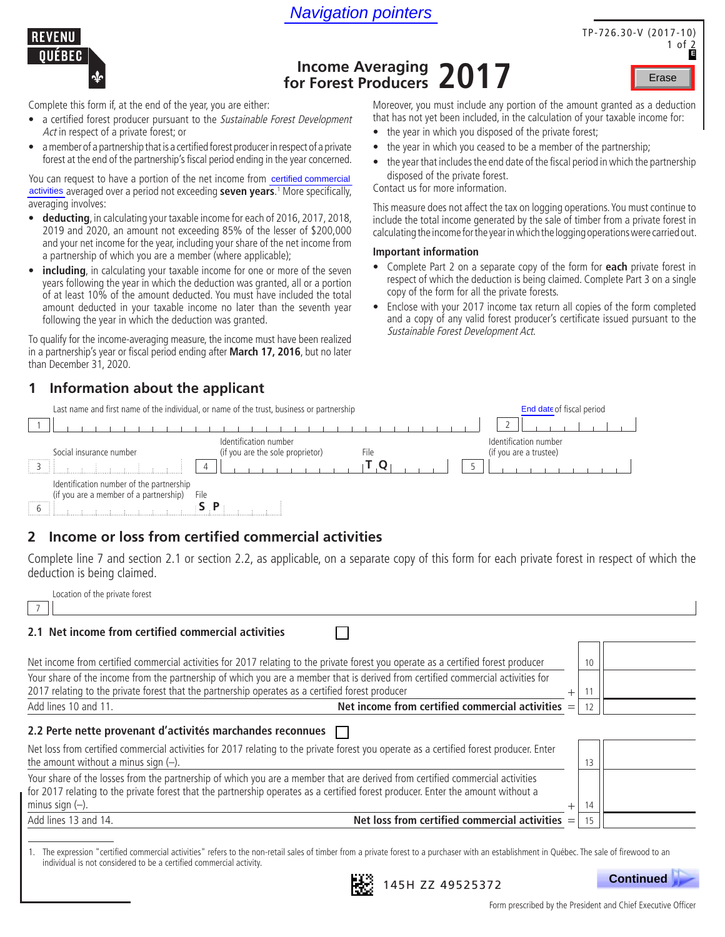Navigation pointers





# **Income Averaging for Forest Producers 2017**

Complete this form if, at the end of the year, you are either:

- a certified forest producer pursuant to the Sustainable Forest Development Act in respect of a private forest; or
- amember of a partnership thatis a certified forest producerin respect of a private forest at the end of the partnership's fiscal period ending in the year concerned.

You can request to have a portion of the net income from certified commercial activities averaged over a period not exceeding **seven years**.<sup>1</sup> More specifically, averaging involves:

- **deducting**, in calculating your taxable income for each of 2016, 2017, 2018, 2019 and 2020, an amount not exceeding 85% of the lesser of \$200,000 and your net income for the year, including your share of the net income from a partnership of which you are a member (where applicable);
- **including**, in calculating your taxable income for one or more of the seven years following the year in which the deduction was granted, all or a portion of at least 10% of the amount deducted. You must have included the total amount deducted in your taxable income no later than the seventh year following the year in which the deduction was granted.

To qualify for the income-averaging measure, the income must have been realized in a partnership's year or fiscal period ending after **March 17, 2016**, but no later than December 31, 2020.

### **1 Information about the applicant**

Last name and first name of the individual, or name of the trust, business or partnership End date of fiscal period

Moreover, you must include any portion of the amount granted as a deduction that has not yet been included, in the calculation of your taxable income for:

- the year in which you disposed of the private forest;
- the year in which you ceased to be a member of the partnership;
- the year that includes the end date of the fiscal period in which the partnership disposed of the private forest.

Contact us for more information.

This measure does not affect the tax on logging operations. You must continue to include the total income generated by the sale of timber from a private forest in calculating the income for the year in which the logging operations were carried out.

#### **Important information**

- Complete Part 2 on a separate copy of the form for **each** private forest in respect of which the deduction is being claimed. Complete Part 3 on a single copy of the form for all the private forests. **Erase**<br>
tion of the amount granted as a deduction<br>
calculation of your taxable income for:<br>
the private forest;<br>
e a member of the partnership;<br>
e of the fiscal period in which the partnership<br>
on logging operations. You
- Enclose with your 2017 income tax return all copies of the form completed and a copy of any valid forest producer's certificate issued pursuant to the Sustainable Forest Development Act.

|                                                                                         | Last hanne and mist hanne of the individual, or hanne of the trust, business or partnership | <b>Life date of fiscal period</b>               |
|-----------------------------------------------------------------------------------------|---------------------------------------------------------------------------------------------|-------------------------------------------------|
|                                                                                         |                                                                                             |                                                 |
| Social insurance number                                                                 | Identification number<br>(if you are the sole proprietor)<br>File                           | Identification number<br>(if you are a trustee) |
| -H                                                                                      | $\overline{4}$                                                                              |                                                 |
| Identification number of the partnership<br>(if you are a member of a partnership)<br>. | File                                                                                        |                                                 |

# **2 Income or loss from certified commercial activities**

Complete line 7 and section 2.1 or section 2.2, as applicable, on a separate copy of this form for each private forest in respect of which the deduction is being claimed.

|     | Location of the private forest |  |  |
|-----|--------------------------------|--|--|
| $7$ |                                |  |  |

#### **2.1 Net income from certified commercial activities** П Net income from certified commercial activities for 2017 relating to the private forest you operate as a certified forest producer 10 Your share of the income from the partnership of which you are a member that is derived from certified commercial activities for 2017 relating to the private forest that the partnership operates as a certified forest producer  $+$  11 Add lines 10 and 11. **Net income from certified commercial activities** = 12 **2.2 Perte nette provenant d'activités marchandes reconnues** Net loss from certified commercial activities for 2017 relating to the private forest you operate as a certified forest producer. Enter the amount without a minus sign (–). 13 Your share of the losses from the partnership of which you are a member that are derived from certified commercial activities for 2017 relating to the private forest that the partnership operates as a certified forest producer. Enter the amount without a minus sign (–).  $+$   $\begin{bmatrix} 14 & 14 \end{bmatrix}$ Add lines 13 and 14. **Net loss from certified commercial activities** = 15

1. The expression "certified commercial activities" refers to the non-retail sales of timber from a private forest to a purchaser with an establishment in Québec. The sale of firewood to an individual is not considered to be a certified commercial activity.